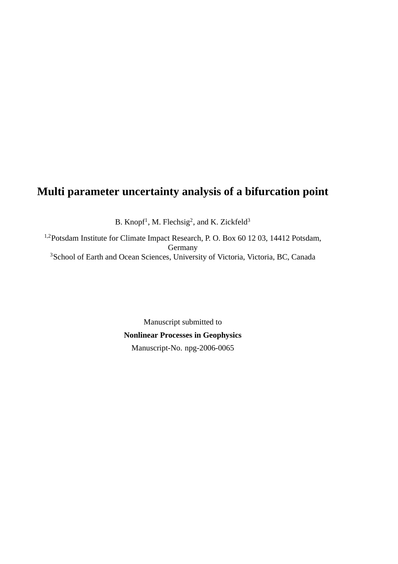# **Multi parameter uncertainty analysis of a bifurcation point**

B. Knopf<sup>1</sup>, M. Flechsig<sup>2</sup>, and K. Zickfeld<sup>3</sup>

1,2Potsdam Institute for Climate Impact Research, P. O. Box 60 12 03, 14412 Potsdam, Germany <sup>3</sup>School of Earth and Ocean Sciences, University of Victoria, Victoria, BC, Canada

> Manuscript submitted to **Nonlinear Processes in Geophysics** Manuscript-No. npg-2006-0065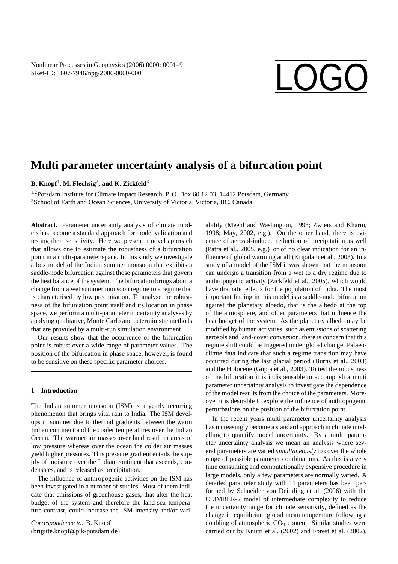# SRef-ID: 1607-7946/npg/2006-0000-0001

# **Multi parameter uncertainty analysis of a bifurcation point**

## **B. Knopf**<sup>1</sup> **, M. Flechsig**<sup>2</sup> **, and K. Zickfeld**<sup>3</sup>

<sup>1,2</sup>Potsdam Institute for Climate Impact Research, P. O. Box 60 12 03, 14412 Potsdam, Germany <sup>3</sup>School of Earth and Ocean Sciences, University of Victoria, Victoria, BC, Canada

Abstract. Parameter uncertainty analysis of climate models has become a standard approach for model validation and testing their sensitivity. Here we present a novel approach that allows one to estimate the robustness of a bifurcation point in a multi-parameter space. In this study we investigate a box model of the Indian summer monsoon that exhibits a saddle-node bifurcation against those parameters that govern the heat balance of the system. The bifurcation brings about a change from a wet summer monsoon regime to a regime that is characterised by low precipitation. To analyse the robustness of the bifurcation point itself and its location in phase space, we perform a multi-parameter uncertainty analyses by applying qualitative, Monte Carlo and deterministic methods that are provided by a multi-run simulation environment.

Our results show that the occurrence of the bifurcation point is robust over a wide range of parameter values. The position of the bifurcation in phase space, however, is found to be sensitive on these specific parameter choices.

#### **1 Introduction**

The Indian summer monsoon (ISM) is a yearly recurring phenomenon that brings vital rain to India. The ISM develops in summer due to thermal gradients between the warm Indian continent and the cooler temperatures over the Indian Ocean. The warmer air masses over land result in areas of low pressure whereas over the ocean the colder air masses yield higher pressures. This pressure gradient entails the supply of moisture over the Indian continent that ascends, condensates, and is released as precipitation.

The influence of anthropogenic activities on the ISM has been investigated in a number of studies. Most of them indicate that emissions of greenhouse gases, that alter the heat budget of the system and therefore the land-sea temperature contrast, could increase the ISM intensity and/or vari-

*Correspondence to:* B. Knopf (brigitte.knopf@pik-potsdam.de) ability (Meehl and Washington, 1993; Zwiers and Kharin, 1998; May, 2002, e.g.). On the other hand, there is evidence of aerosol-induced reduction of precipitation as well (Patra et al., 2005, e.g.) or of no clear indication for an influence of global warming at all (Kripalani et al., 2003). In a study of a model of the ISM it was shown that the monsoon can undergo a transition from a wet to a dry regime due to anthropogenic activity (Zickfeld et al., 2005), which would have dramatic effects for the population of India. The most important finding in this model is a saddle-node bifurcation against the planetary albedo, that is the albedo at the top of the atmosphere, and other parameters that influence the heat budget of the system. As the planetary albedo may be modified by human activities, such as emissions of scattering aerosols and land-cover conversion, there is concern that this regime shift could be triggered under global change. Palaeoclimte data indicate that such a regime transition may have occurred during the last glacial period (Burns et al., 2003) and the Holocene (Gupta et al., 2003). To test the robustness of the bifurcation it is indispensable to accomplish a multi parameter uncertainty analysis to investigate the dependence of the model results from the choice of the parameters. Moreover it is desirable to explore the influence of anthropogenic perturbations on the position of the bifurcation point.

In the recent years multi parameter uncertainty analysis has increasingly become a standard approach in climate modelling to quantify model uncertainty. By a multi parameter uncertainty analysis we mean an analysis where several parameters are varied *simultaneously* to cover the whole range of possible parameter combinations. As this is a very time consuming and computationally expensive procedure in large models, only a few parameters are normally varied. A detailed parameter study with 11 parameters has been performed by Schneider von Deimling et al. (2006) with the CLIMBER-2 model of intermediate complexity to reduce the uncertainty range for climate sensitivity, defined as the change in equilibrium global mean temperature following a doubling of atmospheric  $CO<sub>2</sub>$  content. Similar studies were carried out by Knutti et al. (2002) and Forest et al. (2002).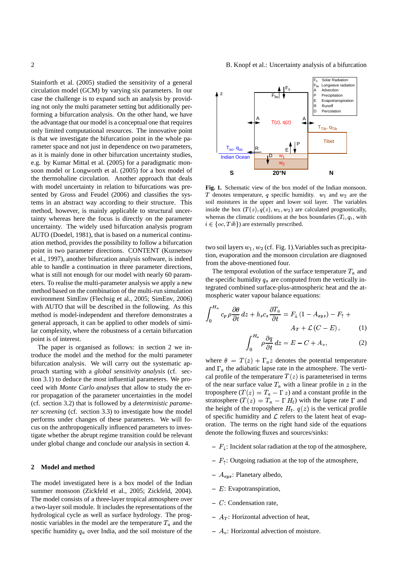Stainforth et al. (2005) studied the sensitivity of a general circulation model (GCM) by varying six parameters. In our case the challenge is to expand such an analysis by providing not only the multi parameter setting but additionally performing a bifurcation analysis. On the other hand, we have the advantage that our model is a conceptual one that requires only limited computational resources. The innovative point is that we investigate the bifurcation point in the whole parameter space and not just in dependence on two parameters, as it is mainly done in other bifurcation uncertainty studies, e.g. by Kumar Mittal et al. (2005) for a paradigmatic monsoon model or Longworth et al. (2005) for a box model of the thermohaline circulation. Another approach that deals with model uncertainty in relation to bifurcations was presented by Gross and Feudel (2006) and classifies the systems in an abstract way according to their structure. This method, however, is mainly applicable to structural uncertainty whereas here the focus is directly on the parameter uncertainty. The widely used bifurcation analysis program AUTO (Doedel, 1981), that is based on a numerical continuation method, provides the possibility to follow a bifurcation point in two parameter directions. CONTENT (Kuznetsov et al., 1997), another bifurcation analysis software, is indeed able to handle a continuation in three parameter directions, what is still not enough for our model with nearly 60 parameters. To realise the multi-parameter analysis we apply a new method based on the combination of the multi-run simulation environment SimEnv (Flechsig et al., 2005; SimEnv, 2006) with AUTO that will be described in the following. As this method is model-independent and therefore demonstrates a general approach, it can be applied to other models of similar complexity, where the robustness of a certain bifurcation point is of interest.

The paper is organised as follows: in section 2 we introduce the model and the method for the multi parameter bifurcation analysis. We will carry out the systematic approach starting with a *global sensitivity analysis* (cf. section 3.1) to deduce the most influential parameters. We proceed with *Monte Carlo analyses* that allow to study the error propagation of the parameter uncertainties in the model (cf. section 3.2) that is followed by a *deterministic parameter screening* (cf. section 3.3) to investigate how the model performs under changes of these parameters. We will focus on the anthropogenically influenced parameters to investigate whether the abrupt regime transition could be relevant under global change and conclude our analysis in section 4.

#### **2 Model and method**

The model investigated here is a box model of the Indian summer monsoon (Zickfeld et al., 2005; Zickfeld, 2004). The model consists of a three-layer tropical atmosphere over a two-layer soil module. It includes the representations of the hydrological cycle as well as surface hydrology. The prognostic variables in the model are the temperature  $T_a$  and the specific humidity  $q_a$  over India, and the soil moisture of the



**Fig. 1.** Schematic view of the box model of the Indian monsoon. T denotes temperature, q specific humidity.  $w_1$  and  $w_2$  are the soil moistures in the upper and lower soil layer. The variables inside the box  $(T(z), q(z), w_1, w_2)$  are calculated prognostically, whereas the climatic conditions at the box boundaries  $(T_i, q_i, \text{ with})$  $i \in \{oc, Tib\}$  are externally prescribed.

 $w_2$  $\overline{w_1}$ 

**S 20°N N**

D

E

Indian Ocean

R

two soil layers  $w_1, w_2$  (cf. Fig. 1). Variables such as precipitation, evaporation and the monsoon circulation are diagnosed from the above-mentioned four.

The temporal evolution of the surface temperature  $T_a$  and the specific humidity  $q_a$  are computed from the vertically integrated combined surface-plus-atmospheric heat and the atmospheric water vapour balance equations:

$$
\int_0^{H_a} c_p \rho \frac{\partial \theta}{\partial t} dz + h_s c_s \frac{\partial T_a}{\partial t} = F_\downarrow (1 - A_{sys}) - F_\uparrow +
$$
  

$$
A_T + \mathcal{L}(C - E) \tag{1}
$$

$$
A_T + \mathcal{L}(C - E), \qquad (1)
$$

$$
\int_0^{H_a} \rho \frac{\partial q}{\partial t} dz = E - C + A_v, \qquad (2)
$$

where  $\theta = T(z) + \Gamma_a z$  denotes the potential temperature where  $\theta = T(z) + \Gamma_a z$  denotes the potential temperature<br>and  $\Gamma_a$  the adiabatic lapse rate in the atmosphere. The vertical profile of the temperature  $T(z)$  is parameterised in terms<br>of the near surface value  $T_a$  with a linear profile in z in the of the near surface value  $T_a$  with a linear profile in z in the <sup>=</sup> troposphere  $(T(z) = T_a - \Gamma z)$ troposphere  $(T(z) = T_a - \Gamma z)$  and a constant profile in the stratosphere  $(T(z) = T_a - \Gamma H_t)$  with the lapse rate  $\Gamma$  and stratosphere  $(T(z) = T_a - \Gamma H_t)$  with the lapse rate  $\Gamma$  and<br>the height of the troposphere  $H_t$ .  $q(z)$  is the vertical profile<br>of specific humidity and  $\mathcal L$  refers to the latent heat of evapof specific humidity and  $\mathcal L$  refers to the latent heat of evapdenote the following fluxes and sources/sinks: oration. The terms on the right hand side of the equations

- $F_{\downarrow}$ : Incident solar radiation at the top of the atmosphere,
- $F_{\uparrow}$ : Outgoing radiation at the top of the atmosphere,
- $A_{sys}$ : Planetary albedo,<br>  $F: \text{Even}$
- **–** *E*: Evapotranspiration,
- ^ **–** : Condensation rate,
- $A_T$ : Horizontal advection of heat,
- $A_v$ : Horizontal advection of moisture.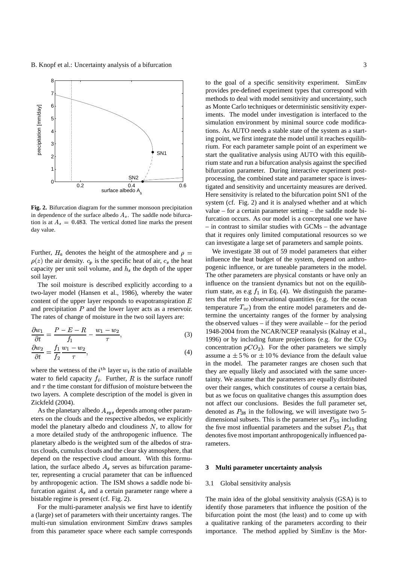

**Fig. 2.** Bifurcation diagram for the summer monsoon precipitation in dependence of the surface albedo  $A_s$ . The saddle node bifurcation is at  $A_s = 0.483$ . The vertical dotted line marks the present day value.

Further,  $H_a$  denotes the height of the atmosphere and capacity per unit soil volume, and  $h_s$  the depth of the upper soil layer. (*z*) the air density.  $c_p$  is the specific heat of air,  $c_s$  the heat interpacity per unit soil volume, and  $h_s$  the depth of the upper soil layer.

The soil moisture is described explicitly according to a two-layer model (Hansen et al., 1986), whereby the water content of the upper layer responds to evapotranspiration  $E$ and precipitation  $P$  and the lower layer acts as a reservoir. The rates of change of moisture in the two soil layers are:

$$
\frac{\partial w_1}{\partial t} = \frac{P - E - R}{f_1} - \frac{w_1 - w_2}{\tau},\tag{3}
$$

$$
\frac{\partial w_2}{\partial t} = \frac{J_1}{f_2} \frac{w_1 - w_2}{\tau},\tag{4}
$$

where the wetness of the  $i^{\text{th}}$  layer  $w_i$  is the ratio of available water to field capacity  $f_i$ . Further, R is the surface runoff two layers. A complete description of the model is given in and  $\tau$  the time constant for diffusion of moisture between the Zickfeld (2004).

As the planetary albedo  $A_{sys}$  depends among other param-<br>rrs on the clouds and the respective albedos, we explicitly eters on the clouds and the respective albedos, we explicitly model the planetary albedo and cloudiness  $N$ , to allow for a more detailed study of the anthropogenic influence. The planetary albedo is the weighted sum of the albedos of stratus clouds, cumulus clouds and the clear sky atmosphere, that depend on the respective cloud amount. With this formulation, the surface albedo  $A_s$  serves as bifurcation parame-<br>ter, representing a crucial parameter that can be influenced ter, representing a crucial parameter that can be influenced by anthropogenic action. The ISM shows a saddle node bifurcation against  $A_s$  and a certain parameter range where a bistable regime is present (cf. Fig. 2).

For the multi-parameter analysis we first have to identify a (large) set of parameters with their uncertainty ranges. The multi-run simulation environment SimEnv draws samples from this parameter space where each sample corresponds

to the goal of a specific sensitivity experiment. SimEnv provides pre-defined experiment types that correspond with methods to deal with model sensitivity and uncertainty, such as Monte Carlo techniques or deterministic sensitivity experiments. The model under investigation is interfaced to the simulation environment by minimal source code modifications. As AUTO needs a stable state of the system as a starting point, we first integrate the model until it reaches equilibrium. For each parameter sample point of an experiment we start the qualitative analysis using AUTO with this equilibrium state and run a bifurcation analysis against the specified bifurcation parameter. During interactive experiment postprocessing, the combined state and parameter space is investigated and sensitivity and uncertainty measures are derived. Here sensitivity is related to the bifurcation point SN1 of the system (cf. Fig. 2) and it is analysed whether and at which value – for a certain parameter setting – the saddle node bifurcation occurs. As our model is a conceptual one we have – in contrast to similar studies with GCMs – the advantage that it requires only limited computational resources so we can investigate a large set of parameters and sample points.

er pogenic influence, or are tuneable parameters in the model. ^ termine the uncertainty ranges of the former by analysing We investigate 38 out of 59 model parameters that either influence the heat budget of the system, depend on anthro-The other parameters are physical constants or have only an influence on the transient dynamics but not on the equilibrium state, as e.g  $f_1$  in Eq. (4). We distinguish the parameters that refer to observational quantities (e.g. for the ocean temperature  $T_{oc}$ ) from the entire model parameters and dethe observed values – if they were available – for the period 1948-2004 from the NCAR/NCEP reanalysis (Kalnay et al., 1996) or by including future projections (e.g. for the  $CO<sub>2</sub>$ concentration  $pCO_2$ ). For the other parameters we simply<br>assume a  $\pm 5\%$  or  $\pm 10\%$  deviance from the default value concentration  $pCO<sub>2</sub>$ ). For the other parameters we simply in the model. The parameter ranges are chosen such that they are equally likely and associated with the same uncertainty. We assume that the parameters are equally distributed over their ranges, which constitutes of course a certain bias, but as we focus on qualitative changes this assumption does not affect our conclusions. Besides the full parameter set, denoted as  $P_{38}$  in the following, we will investigate two 5dimensional subsets. This is the parameter set  $P_{S5}$  including the five most influential parameters and the subset  $P_{A5}$  that denotes five most important anthropogenically influenced parameters.

#### **3 Multi parameter uncertainty analysis**

#### 3.1 Global sensitivity analysis

The main idea of the global sensitivity analysis (GSA) is to identify those parameters that influence the position of the bifurcation point the most (the least) and to come up with a qualitative ranking of the parameters according to their importance. The method applied by SimEnv is the Mor-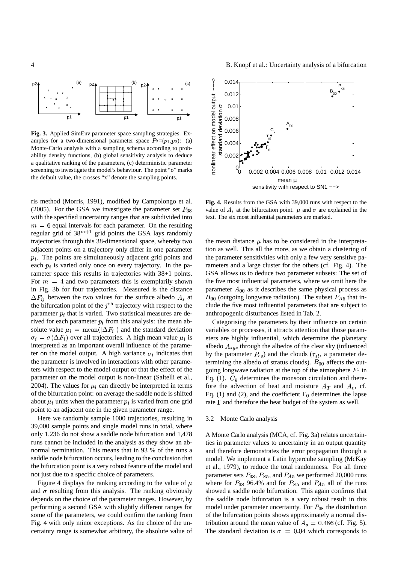

**Fig. 3.** Applied SimEnv parameter space sampling strategies. Examples for a two-dimensional parameter space  $P_2=(p_1, p_2)$ : (a) Monte-Carlo analysis with a sampling schema according to probability density functions, (b) global sensitivity analysis to deduce a qualitative ranking of the parameters, (c) deterministic parameter screening to investigate the model's behaviour. The point "o" marks the default value, the crosses "x" denote the sampling points.

ris method (Morris, 1991), modified by Campolongo et al. (2005). For the GSA we investigate the parameter set  $P_{38}$ with the specified uncertainty ranges that are subdivided into  $m = 6$  equal intervals for each parameter. On the resulting  $m = 6$  equal intervals for each parameter. On the resulting regular grid of  $38^{m+1}$  grid points the GSA lays randomly trajectories through this 38-dimensional space, whereby two adjacent points on a trajectory only differ in one parameter  $p_i$ . The points are simultaneously adjacent grid points and each  $p_i$  is varied only once on every trajectory. In the parameter space this results in trajectories with 38+1 points. For  $m = 4$  and two parameters this is exemplarily shown For  $m = 4$  and two parameters this is exemplarily shown<br>in Fig. 3b for four trajectories. Measured is the distance  $\Delta F_{ij}$  between the two values for the surface albedo  $A_s$  at parameter  $p_i$  that is varied. Two statistical measures are dethe bifurcation point of the  $j<sup>th</sup>$  trajectory with respect to the rived for each parameter  $p_i$  from this analysis: the mean absolute value  $\mu_i = \text{mean}(|\Delta F_i|)$  and the standard deviation = mean( $|\Delta F_i|$ ) and the star<br>ver all trajectories. A high m interpreted as an important overall influence of the parame- $\sigma_i = \sigma(\Delta F_i)$  over all trajectories. A high mean value  $\mu_i$  is interpreted as an important overall influence of the parameter on the model output. A high variance  $\sigma_i$  indicates that the parameter is involved in interactions with other parameters with respect to the model output or that the effect of the parameter on the model output is non-linear (Saltelli et al., 2004). The values for  $\mu_i$  can directly be interpreted in terms of the bifurcation point: on average the saddle node is shifted about  $\mu_i$  units when the parameter  $p_i$  is varied from one grid point to an adjacent one in the given parameter range.

Here we randomly sample 1000 trajectories, resulting in 39,000 sample points and single model runs in total, where only 1,236 do not show a saddle node bifurcation and 1,478 runs cannot be included in the analysis as they show an abnormal termination. This means that in 93 % of the runs a saddle node bifurcation occurs, leading to the conclusion that the bifurcation point is a very robust feature of the model and not just due to a specific choice of parameters.

Figure 4 displays the ranking according to the value of  $\mu$ and  $\sigma$  resulting from this analysis. The ranking obviously depends on the choice of the parameter ranges. However, by performing a second GSA with slightly different ranges for some of the parameters, we could confirm the ranking from Fig. 4 with only minor exceptions. As the choice of the uncertainty range is somewhat arbitrary, the absolute value of



**Fig. 4.** Results from the GSA with 39,000 runs with respect to the value of  $A_s$  at the bifurcation point.  $\mu$  and  $\sigma$  are explained in the text. The six most influential parameters are marked.

the mean distance  $\mu$  has to be considered in the interpretation as well. This all the more, as we obtain a clustering of the parameter sensitivities with only a few very sensitive parameters and a large cluster for the others (cf. Fig. 4). The GSA allows us to deduce two parameter subsets: The set of the five most influential parameters, where we omit here the parameter  $A_{00}$  as it describes the same physical process as clude the five most influential parameters that are subject to  $B_{00}$  (outgoing longwave radiation). The subset  $P_{A5}$  that inanthropogenic disturbances listed in Tab. 2.

Categorising the parameters by their influence on certain variables or processes, it attracts attention that those parameters are highly influential, which determine the planetary albedo  $A_{sys}$  through the albedos of the clear sky (influenced albedo  $A_{sys}$  through the albedos of the clear sky (influenced<br>by the parameter  $P_{cs}$ ) and the clouds ( $\tau_{st}$ , a parameter de-<br>termining the albedo of stratus clouds).  $B_{00}$  affects the outgoing longwave radiation at the top of the atmosphere  $F_{\uparrow}$  in termining the albedo of stratus clouds).  $B_{00}$  affects the out-ET Eq. (1).  $C_k$  determines the monsoon circulation and there-Eq. (1).  $C_k$  determines the monsoon circulation and there-<br>fore the advection of heat and moisture  $A_T$  and  $A_v$ , cf. rate  $\Gamma$  and therefore the heat budget of the system as well. fore the advection of heat and moisture  $A_T$  and  $A_v$ , cf.<br>Eq. (1) and (2), and the coefficient  $\Gamma_0$  determines the lapse

#### <sup>g</sup> 3.2 Monte Carlo analysis

A Monte Carlo analysis (MCA, cf. Fig. 3a) relates uncertainties in parameter values to uncertainty in an output quantity and therefore demonstrates the error propagation through a model. We implement a Latin hypercube sampling (McKay et al., 1979), to reduce the total randomness. For all three parameter sets  $P_{38}$ ,  $P_{55}$ , and  $P_{45}$  we performed 20,000 runs where for  $P_{38}$  96.4% and for  $P_{55}$  and  $P_{A5}$  all of the runs showed a saddle node bifurcation. This again confirms that the saddle node bifurcation is a very robust result in this model under parameter uncertainty. For  $P_{38}$  the distribution of the bifurcation points shows approximately a normal distribution around the mean value of  $A_s = 0.486$  (cf. Fig. 5).<br>The standard deviation is  $\sigma = 0.04$  which corresponds to The standard deviation is  $\sigma = 0.04$  which corresponds to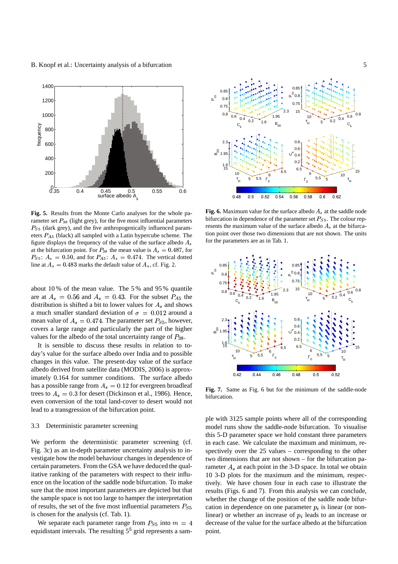B. Knopf et al.: Uncertainty analysis of a bifurcation 5



**Fig. 5.** Results from the Monte Carlo analyses for the whole parameter set  $P_{38}$  (light grey), for the five most influential parameters  $P_{S5}$  (dark grey), and the five anthropogenically influenced parameters  $P_{A5}$  (black) all sampled with a Latin hypercube scheme. The figure displays the frequency of the value of the surface albedo  $A_s$ at the bifurcation point. For  $P_{38}$  the mean value is  $A_8 = 0.487$ , for  $P_{S_5}$ :  $A_s = 0.50$ , and for  $P_{A_5}$ :  $A_s = 0.474$ . The vertical dotted line at  $A_s = 0.483$  marks the default value of  $A_s$ , cf. Fig. 2.

about 10 % of the mean value. The 5 % and 95 % quantile are at  $A_s = 0.56$  and  $A_s = 0.43$ . For the subset  $P_{A5}$  the are at  $A_s = 0.56$  and  $A_s = 0.43$ . For the subset  $P_{A5}$  the distribution is shifted a bit to lower values for  $A_s$  and shows distribution is shifted a bit to lower values for  $A_s$  and shows<br>a much smaller standard deviation of  $\sigma = 0.012$  around a a much smaller standard deviation of  $\sigma = 0.012$  around a mean value of  $A_s = 0.474$ . The parameter set  $P_{S5}$ , however, mean value of  $A_s = 0.474$ . The parameter set  $P_{S5}$ , however, covers a large range and particularly the part of the higher values for the albedo of the total uncertainty range of  $P_{38}$ .

It is sensible to discuss these results in relation to today's value for the surface albedo over India and to possible changes in this value. The present-day value of the surface albedo derived from satellite data (MODIS, 2006) is approximately 0.164 for summer conditions. The surface albedo has a possible range from  $A_s = 0.12$  for evergreen broadleaf has a possible range from  $A_s = 0.12$  for evergreen broadleaf<br>trees to  $A_s = 0.3$  for desert (Dickinson et al., 1986). Hence, lead to a transgression of the bifurcation point. even conversion of the total land-cover to desert would not

#### 3.3 Deterministic parameter screening

We perform the deterministic parameter screening (cf. Fig. 3c) as an in-depth parameter uncertainty analysis to investigate how the model behaviour changes in dependence of certain parameters. From the GSA we have deduced the qualitative ranking of the parameters with respect to their influence on the location of the saddle node bifurcation. To make sure that the most important parameters are depicted but that the sample space is not too large to hamper the interpretation of results, the set of the five most influential parameters  $P_{S5}$ is chosen for the analysis (cf. Tab. 1).

We separate each parameter range from  $P_{S5}$  into  $m = 4$ equidistant intervals. The resulting  $5<sup>5</sup>$  grid represents a sam-<br>point



**Fig. 6.** Maximum value for the surface albedo  $A_s$  at the saddle node bifurcation in dependence of the parameter set  $P_{S<sub>5</sub>}$ . The colour represents the maximum value of the surface albedo  $A_s$  at the bifurcation point over those two dimensions that are not shown. The units for the parameters are as in Tab. 1.



**Fig. 7.** Same as Fig. 6 but for the minimum of the saddle-node bifurcation.

ple with 3125 sample points where all of the corresponding model runs show the saddle-node bifurcation. To visualise this 5-D parameter space we hold constant three parameters in each case. We calculate the maximum and minimum, respectively over the 25 values – corresponding to the other two dimensions that are not shown – for the bifurcation parameter  $A_s$  at each point in the 3-D space. In total we obtain tively. We have chosen four in each case to illustrate the 10 3-D plots for the maximum and the minimum, respecresults (Figs. 6 and 7). From this analysis we can conclude, whether the change of the position of the saddle node bifurcation in dependence on one parameter  $p_i$  is linear (or nonlinear) or whether an increase of  $p_i$  leads to an increase or decrease of the value for the surface albedo at the bifurcation point.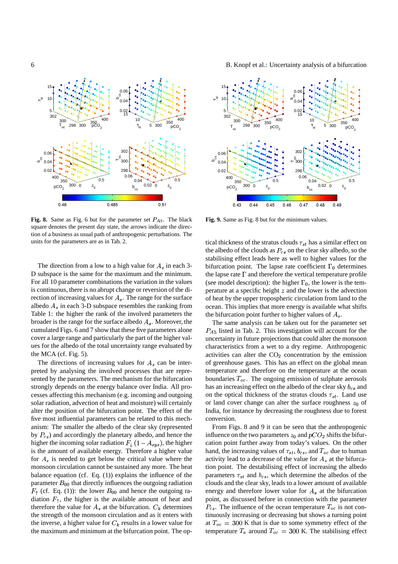

**Fig. 8.** Same as Fig. 6 but for the parameter set  $P_{A5}$ . The black square denotes the present day state, the arrows indicate the direction of a business as usual path of anthropogenic perturbations. The units for the parameters are as in Tab. 2.

The direction from a low to a high value for  $A_s$  in each 3-The direction from a low to a high value for  $A_s$  in each 3-<br>D subspace is the same for the maximum and the minimum. For all 10 parameter combinations the variation in the values is continuous, there is no abrupt change or reversion of the direction of increasing values for  $A_s$ . The range for the surface Table 1: the higher the rank of the involved parameters the albedo  $A_s$  in each 3-D subspace resembles the ranking from broader is the range for the surface albedo  $A_s$ . Moreover, the cover a large range and particularly the part of the higher valcumulated Figs. 6 and 7 show that these five parameters alone ues for the albedo of the total uncertainty range evaluated by the MCA (cf. Fig. 5).

The directions of increasing values for  $A<sub>s</sub>$  can be intersented by the parameters. The mechanism for the bifurcation preted by analysing the involved processes that are represtrongly depends on the energy balance over India. All processes affecting this mechanism (e.g. incoming and outgoing solar radiation, advection of heat and moisture) will certainly alter the position of the bifurcation point. The effect of the five most influential parameters can be related to this mechanism: The smaller the albedo of the clear sky (represented by  $P_{cs}$ ) and accordingly the planetary albedo, and hence the is the amount of available energy. Therefore a higher value higher the incoming solar radiation  $F_{\downarrow}$  (1 –  $A_{sys}$ ), the higher for  $A<sub>s</sub>$  is needed to get below the critical value where the balance equation (cf. Eq.  $(1)$ ) explains the influence of the monsoon circulation cannot be sustained any more. The heat parameter  $B_{00}$  that directly influences the outgoing radiation  $F_{\uparrow}$  (cf. Eq. (1)): the lower  $B_{00}$  and hence the outgoing radiation  $F_{\uparrow}$ , the higher is the available amount of heat and therefore the value for  $A_s$  at the bifurcation.  $C_k$  determines  $F_{\uparrow}$  (cf. Eq. (1)): the lower  $B_{00}$  and hence the outgoing ratherefore the value for  $A_s$  at the bifurcation.  $C_k$  determines therefore the value for  $A_s$  at the bifurcation.  $C_k$  determines the strength of the monsoon circulation and as it enters with the inverse, a higher value for  $C_k$  results in a lower value for the maximum and minimum at the bifurcation point. The op-

6 B. Knopf et al.: Uncertainty analysis of a bifurcation



**Fig. 9.** Same as Fig. 8 but for the minimum values.

tical thickness of the stratus clouds  $\tau_{st}$  has a similar effect on tical thickness of the stratus clouds  $\tau_{st}$  has a similar effect on the albedo of the clouds as  $P_{cs}$  on the clear sky albedo, so the bifurcation point. The lapse rate coefficient  $\Gamma_0$  determines stabilising effect leads here as well to higher values for the (see model description): the higher  $\Gamma_0$ , the lower is the temthe lapse rate  $\Gamma$  and therefore the vertical temperature profile perature at a specific height  $z$  and the lower is the advection of heat by the upper tropospheric circulation from land to the ocean. This implies that more energy is available what shifts the bifurcation point further to higher values of  $A_s$ .

Expedience to higher values of  $A_s$ .<br>The same analysis can be taken out for the parameter set  $P_{A5}$  listed in Tab. 2. This investigation will account for the uncertainty in future projections that could alter the monsoon characteristics from a wet to a dry regime. Anthropogenic activities can alter the  $CO<sub>2</sub>$  concentration by the emission of greenhouse gases. This has an effect on the global mean temperature and therefore on the temperature at the ocean boundaries  $T_{oc}$ . The ongoing emission of sulphate aerosols has an increasing effect on the albedo of the clear sky  $b_{cs}$  and  $\mathbf{P}$ on the optical thickness of the stratus clouds  $\tau_{st}$ . Land use on the optical thickness of the stratus clouds  $\tau_{st}$ . Land use<br>or land cover change can alter the surface roughness  $z_0$  of India, for instance by decreasing the roughness due to forest conversion.

From Figs. 8 and 9 it can be seen that the anthropogenic influence on the two parameters  $z_0$  and  $pCO_2$  shifts the bifurhand, the increasing values of  $\tau_{st}$ ,  $b_{cs}$ , and  $T_{oc}$  due to human activity lead to a decrease of the value for  $A_s$  at the bifurcainfluence on the two parameters  $z_0$  and  $pCO_2$  shifts the bifurcation point further away from today's values. On the other tion point. The destabilising effect of increasing the albedo activity lead to a decrease of the value for  $A_s$  at the bifurcaparameters  $\tau_{st}$  and  $b_{cs}$ , which determine the albedos of the parameters  $\tau_{st}$  and  $b_{cs}$ , which determine the albedos of the clouds and the clear sky, leads to a lower amount of available energy and therefore lower value for energy and therefore lower value for  $A_s$  at the bifurcation<br>point, as discussed before in connection with the parameter  $P_{cs}$ . The influence of the ocean temperature  $T_{oc}$  is not conat  $T_{oc} = 30$ tinuously increasing or decreasing but shows a turning point at  $T_{oc} = 300$  K that is due to some symmetry effect of the temperature  $T_a$  around  $T_{oc} = 300$  K. The stabilising effect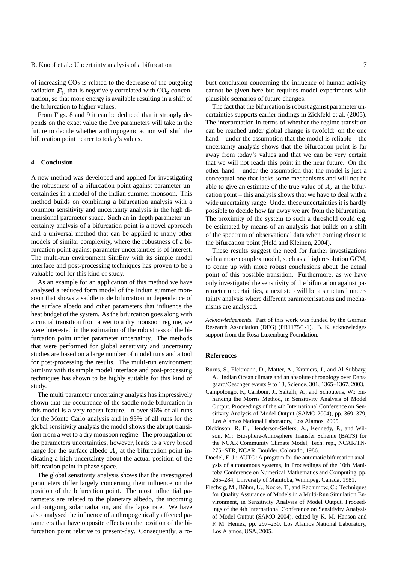### B. Knopf et al.: Uncertainty analysis of a bifurcation 7

of increasing  $CO<sub>2</sub>$  is related to the decrease of the outgoing radiation  $F_{\uparrow}$ , that is negatively correlated with  $CO<sub>2</sub>$  concenradiation  $F_{\uparrow}$ , that is negatively correlated with CO<sub>2</sub> concentration, so that more energy is available resulting in a shift of the bifurcation to higher values.

From Figs. 8 and 9 it can be deduced that it strongly depends on the exact value the five parameters will take in the future to decide whether anthropogenic action will shift the bifurcation point nearer to today's values.

#### **4 Conclusion**

A new method was developed and applied for investigating the robustness of a bifurcation point against parameter uncertainties in a model of the Indian summer monsoon. This method builds on combining a bifurcation analysis with a common sensitivity and uncertainty analysis in the high dimensional parameter space. Such an in-depth parameter uncertainty analysis of a bifurcation point is a novel approach and a universal method that can be applied to many other models of similar complexity, where the robustness of a bifurcation point against parameter uncertainties is of interest. The multi-run environment SimEnv with its simple model interface and post-processing techniques has proven to be a valuable tool for this kind of study.

As an example for an application of this method we have analysed a reduced form model of the Indian summer monsoon that shows a saddle node bifurcation in dependence of the surface albedo and other parameters that influence the heat budget of the system. As the bifurcation goes along with a crucial transition from a wet to a dry monsoon regime, we were interested in the estimation of the robustness of the bifurcation point under parameter uncertainty. The methods that were performed for global sensitivity and uncertainty studies are based on a large number of model runs and a tool for post-processing the results. The multi-run environment SimEnv with its simple model interface and post-processing techniques has shown to be highly suitable for this kind of study.

The multi parameter uncertainty analysis has impressively shown that the occurrence of the saddle node bifurcation in this model is a very robust feature. In over 96% of all runs for the Monte Carlo analysis and in 93% of all runs for the global sensitivity analysis the model shows the abrupt transition from a wet to a dry monsoon regime. The propagation of the parameters uncertainties, however, leads to a very broad range for the surface albedo  $A<sub>s</sub>$  at the bifurcation point inbifurcation point in phase space. dicating a high uncertainty about the actual position of the

The global sensitivity analysis shows that the investigated parameters differ largely concerning their influence on the position of the bifurcation point. The most influential parameters are related to the planetary albedo, the incoming and outgoing solar radiation, and the lapse rate. We have also analysed the influence of anthropogenically affected parameters that have opposite effects on the position of the bifurcation point relative to present-day. Consequently, a robust conclusion concerning the influence of human activity cannot be given here but requires model experiments with plausible scenarios of future changes.

The fact that the bifurcation is robust against parameter uncertainties supports earlier findings in Zickfeld et al. (2005). The interpretation in terms of whether the regime transition can be reached under global change is twofold: on the one hand – under the assumption that the model is reliable – the uncertainty analysis shows that the bifurcation point is far away from today's values and that we can be very certain that we will not reach this point in the near future. On the other hand – under the assumption that the model is just a conceptual one that lacks some mechanisms and will not be able to give an estimate of the true value of  $A_s$  at the bifur-<br>cation point – this analysis shows that we have to deal with a cation point – this analysis shows that we have to deal with a wide uncertainty range. Under these uncertainties it is hardly possible to decide how far away we are from the bifurcation. The proximity of the system to such a threshold could e.g. be estimated by means of an analysis that builds on a shift of the spectrum of observational data when coming closer to the bifurcation point (Held and Kleinen, 2004).

These results suggest the need for further investigations with a more complex model, such as a high resolution GCM, to come up with more robust conclusions about the actual point of this possible transition. Furthermore, as we have only investigated the sensitivity of the bifurcation against parameter uncertainties, a next step will be a structural uncertainty analysis where different parameterisations and mechanisms are analysed.

*Acknowledgements.* Part of this work was funded by the German Research Association (DFG) (PR1175/1-1). B. K. acknowledges support from the Rosa Luxemburg Foundation.

#### **References**

- Burns, S., Fleitmann, D., Matter, A., Kramers, J., and Al-Subbary, A.: Indian Ocean climate and an absolute chronology over Dansgaard/Oeschger events 9 to 13, Science, 301, 1365–1367, 2003.
- Campolongo, F., Cariboni, J., Saltelli, A., and Schoutens, W.: Enhancing the Morris Method, in Sensitivity Analysis of Model Output. Proceedings of the 4th International Conference on Sensitivity Analysis of Model Output (SAMO 2004), pp. 369–379, Los Alamos National Laboratory, Los Alamos, 2005.
- Dickinson, R. E., Henderson-Sellers, A., Kennedy, P., and Wilson, M.: Biosphere-Atmosphere Transfer Scheme (BATS) for the NCAR Community Climate Model, Tech. rep., NCAR/TN-275+STR, NCAR, Boulder, Colorado, 1986.
- Doedel, E. J.: AUTO: A program for the automatic bifurcation analysis of autonomous systems, in Proceedings of the 10th Manitoba Conference on Numerical Mathematics and Computing, pp. 265–284, University of Manitoba, Winnipeg, Canada, 1981.
- Flechsig, M., Böhm, U., Nocke, T., and Rachimow, C.: Techniques for Quality Assurance of Models in a Multi-Run Simulation Environment, in Sensitivity Analysis of Model Output. Proceedings of the 4th International Conference on Sensitivity Analysis of Model Output (SAMO 2004), edited by K. M. Hanson and F. M. Hemez, pp. 297–230, Los Alamos National Laboratory, Los Alamos, USA, 2005.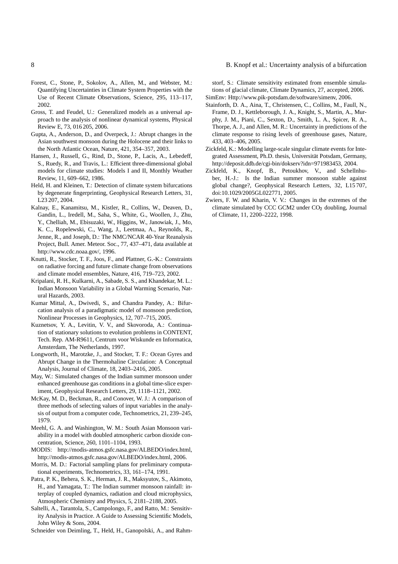- Forest, C., Stone, P., Sokolov, A., Allen, M., and Webster, M.: Quantifying Uncertainties in Climate System Properties with the Use of Recent Climate Observations, Science, 295, 113–117, 2002.
- Gross, T. and Feudel, U.: Generalized models as a universal approach to the analysis of nonlinear dynamical systems, Physical Review E, 73, 016 205, 2006.
- Gupta, A., Anderson, D., and Overpeck, J.: Abrupt changes in the Asian southwest monsoon during the Holocene and their links to the North Atlantic Ocean, Nature, 421, 354–357, 2003.
- Hansen, J., Russell, G., Rind, D., Stone, P., Lacis, A., Lebedeff, S., Ruedy, R., and Travis, L.: Efficient three-dimensional global models for climate studies: Models I and II, Monthly Weather Review, 11, 609–662, 1986.
- Held, H. and Kleinen, T.: Detection of climate system bifurcations by degenerate fingerprinting, Geophysical Research Letters, 31, L23 207, 2004.
- Kalnay, E., Kanamitsu, M., Kistler, R., Collins, W., Deaven, D., Gandin, L., Iredell, M., Saha, S., White, G., Woollen, J., Zhu, Y., Chelliah, M., Ebisuzaki, W., Higgins, W., Janowiak, J., Mo, K. C., Ropelewski, C., Wang, J., Leetmaa, A., Reynolds, R., Jenne, R., and Joseph, D.: The NMC/NCAR 40-Year Reanalysis Project, Bull. Amer. Meteor. Soc., 77, 437–471, data available at http://www.cdc.noaa.gov/, 1996.
- Knutti, R., Stocker, T. F., Joos, F., and Plattner, G.-K.: Constraints on radiative forcing and future climate change from observations and climate model ensembles, Nature, 416, 719–723, 2002.
- Kripalani, R. H., Kulkarni, A., Sabade, S. S., and Khandekar, M. L.: Indian Monsoon Variability in a Global Warming Scenario, Natural Hazards, 2003.
- Kumar Mittal, A., Dwivedi, S., and Chandra Pandey, A.: Bifurcation analysis of a paradigmatic model of monsoon prediction, Nonlinear Processes in Geophysics, 12, 707–715, 2005.
- Kuznetsov, Y. A., Levitin, V. V., and Skovoroda, A.: Continuation of stationary solutions to evolution problems in CONTENT, Tech. Rep. AM-R9611, Centrum voor Wiskunde en Informatica, Amsterdam, The Netherlands, 1997.
- Longworth, H., Marotzke, J., and Stocker, T. F.: Ocean Gyres and Abrupt Change in the Thermohaline Circulation: A Conceptual Analysis, Journal of Climate, 18, 2403–2416, 2005.
- May, W.: Simulated changes of the Indian summer monsoon under enhanced greenhouse gas conditions in a global time-slice experiment, Geophysical Research Letters, 29, 1118–1121, 2002.
- McKay, M. D., Beckman, R., and Conover, W. J.: A comparison of three methods of selecting values of input variables in the analysis of output from a computer code, Technometrics, 21, 239–245, 1979.
- Meehl, G. A. and Washington, W. M.: South Asian Monsoon variability in a model with doubled atmospheric carbon dioxide concentration, Science, 260, 1101–1104, 1993.
- MODIS: http://modis-atmos.gsfc.nasa.gov/ALBEDO/index.html, http://modis-atmos.gsfc.nasa.gov/ALBEDO/index.html, 2006.
- Morris, M. D.: Factorial sampling plans for preliminary computational experiments, Technometrics, 33, 161–174, 1991.
- Patra, P. K., Behera, S. K., Herman, J. R., Maksyutov, S., Akimoto, H., and Yamagata, T.: The Indian summer monsoon rainfall: interplay of coupled dynamics, radiation and cloud microphysics, Atmospheric Chemistry and Physics, 5, 2181–2188, 2005.
- Saltelli, A., Tarantola, S., Campolongo, F., and Ratto, M.: Sensitivity Analysis in Practice. A Guide to Assessing Scientific Models, John Wiley & Sons, 2004.

Schneider von Deimling, T., Held, H., Ganopolski, A., and Rahm-

#### 8 B. Knopf et al.: Uncertainty analysis of a bifurcation

storf, S.: Climate sensitivity estimated from ensemble simulations of glacial climate, Climate Dynamics, 27, accepted, 2006. SimEnv: Http://www.pik-potsdam.de/software/simenv, 2006.

- Stainforth, D. A., Aina, T., Christensen, C., Collins, M., Faull, N.,
- Frame, D. J., Kettleborough, J. A., Knight, S., Martin, A., Murphy, J. M., Piani, C., Sexton, D., Smith, L. A., Spicer, R. A., Thorpe, A. J., and Allen, M. R.: Uncertainty in predictions of the climate response to rising levels of greenhouse gases, Nature, 433, 403–406, 2005.
- Zickfeld, K.: Modelling large-scale singular climate events for Integrated Assessment, Ph.D. thesis, Universität Potsdam, Germany, http://deposit.ddb.de/cgi-bin/dokserv?idn=971983453, 2004.
- Zickfeld, K., Knopf, B., Petoukhov, V., and Schellnhuber, H.-J.: Is the Indian summer monsoon stable against global change?, Geophysical Research Letters, 32, L15 707, doi:10.1029/2005GL022771, 2005.
- Zwiers, F. W. and Kharin, V. V.: Changes in the extremes of the climate simulated by CCC GCM2 under  $CO<sub>2</sub>$  doubling, Journal of Climate, 11, 2200–2222, 1998.